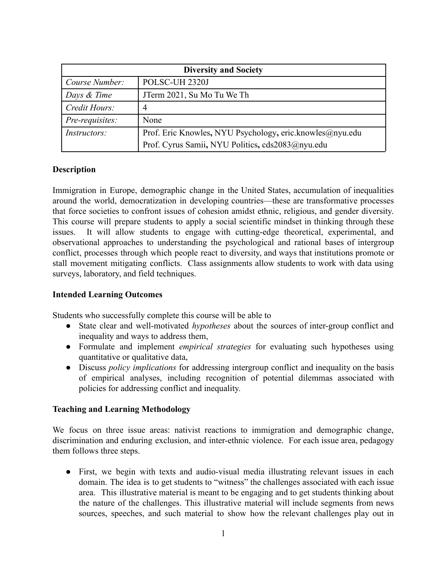| <b>Diversity and Society</b> |                                                          |  |  |
|------------------------------|----------------------------------------------------------|--|--|
| Course Number:               | POLSC-UH 2320J                                           |  |  |
| Days & Time                  | JTerm 2021, Su Mo Tu We Th                               |  |  |
| Credit Hours:                |                                                          |  |  |
| Pre-requisites:              | None                                                     |  |  |
| <i>Instructors:</i>          | Prof. Eric Knowles, NYU Psychology, eric knowles@nyu.edu |  |  |
|                              | Prof. Cyrus Samii, NYU Politics, cds2083@nyu.edu         |  |  |

#### **Description**

Immigration in Europe, demographic change in the United States, accumulation of inequalities around the world, democratization in developing countries—these are transformative processes that force societies to confront issues of cohesion amidst ethnic, religious, and gender diversity. This course will prepare students to apply a social scientific mindset in thinking through these issues. It will allow students to engage with cutting-edge theoretical, experimental, and observational approaches to understanding the psychological and rational bases of intergroup conflict, processes through which people react to diversity, and ways that institutions promote or stall movement mitigating conflicts. Class assignments allow students to work with data using surveys, laboratory, and field techniques.

### **Intended Learning Outcomes**

Students who successfully complete this course will be able to

- State clear and well-motivated *hypotheses* about the sources of inter-group conflict and inequality and ways to address them,
- Formulate and implement *empirical strategies* for evaluating such hypotheses using quantitative or qualitative data,
- **●** Discuss *policy implications* for addressing intergroup conflict and inequality on the basis of empirical analyses, including recognition of potential dilemmas associated with policies for addressing conflict and inequality.

#### **Teaching and Learning Methodology**

We focus on three issue areas: nativist reactions to immigration and demographic change, discrimination and enduring exclusion, and inter-ethnic violence. For each issue area, pedagogy them follows three steps.

● First, we begin with texts and audio-visual media illustrating relevant issues in each domain. The idea is to get students to "witness" the challenges associated with each issue area. This illustrative material is meant to be engaging and to get students thinking about the nature of the challenges. This illustrative material will include segments from news sources, speeches, and such material to show how the relevant challenges play out in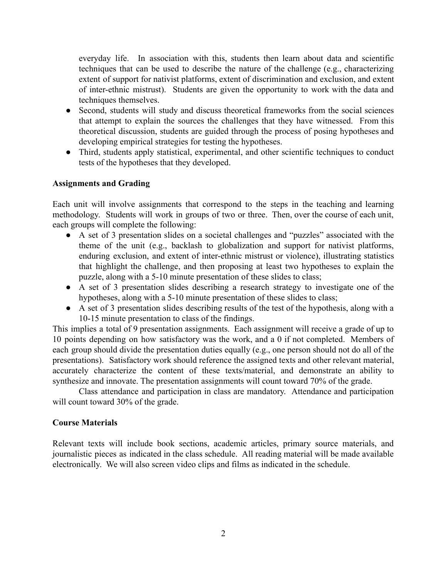everyday life. In association with this, students then learn about data and scientific techniques that can be used to describe the nature of the challenge (e.g., characterizing extent of support for nativist platforms, extent of discrimination and exclusion, and extent of inter-ethnic mistrust). Students are given the opportunity to work with the data and techniques themselves.

- Second, students will study and discuss theoretical frameworks from the social sciences that attempt to explain the sources the challenges that they have witnessed. From this theoretical discussion, students are guided through the process of posing hypotheses and developing empirical strategies for testing the hypotheses.
- Third, students apply statistical, experimental, and other scientific techniques to conduct tests of the hypotheses that they developed.

## **Assignments and Grading**

Each unit will involve assignments that correspond to the steps in the teaching and learning methodology. Students will work in groups of two or three. Then, over the course of each unit, each groups will complete the following:

- A set of 3 presentation slides on a societal challenges and "puzzles" associated with the theme of the unit (e.g., backlash to globalization and support for nativist platforms, enduring exclusion, and extent of inter-ethnic mistrust or violence), illustrating statistics that highlight the challenge, and then proposing at least two hypotheses to explain the puzzle, along with a 5-10 minute presentation of these slides to class;
- A set of 3 presentation slides describing a research strategy to investigate one of the hypotheses, along with a 5-10 minute presentation of these slides to class;
- A set of 3 presentation slides describing results of the test of the hypothesis, along with a 10-15 minute presentation to class of the findings.

This implies a total of 9 presentation assignments. Each assignment will receive a grade of up to 10 points depending on how satisfactory was the work, and a 0 if not completed. Members of each group should divide the presentation duties equally (e.g., one person should not do all of the presentations). Satisfactory work should reference the assigned texts and other relevant material, accurately characterize the content of these texts/material, and demonstrate an ability to synthesize and innovate. The presentation assignments will count toward 70% of the grade.

Class attendance and participation in class are mandatory. Attendance and participation will count toward 30% of the grade.

## **Course Materials**

Relevant texts will include book sections, academic articles, primary source materials, and journalistic pieces as indicated in the class schedule. All reading material will be made available electronically. We will also screen video clips and films as indicated in the schedule.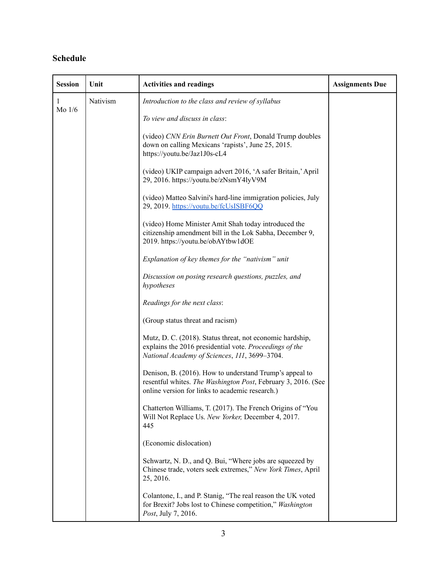# **Schedule**

| <b>Session</b> | Unit     | <b>Activities and readings</b>                                                                                                                                              | <b>Assignments Due</b> |
|----------------|----------|-----------------------------------------------------------------------------------------------------------------------------------------------------------------------------|------------------------|
| 1<br>Mo $1/6$  | Nativism | Introduction to the class and review of syllabus                                                                                                                            |                        |
|                |          | To view and discuss in class:                                                                                                                                               |                        |
|                |          | (video) CNN Erin Burnett Out Front, Donald Trump doubles<br>down on calling Mexicans 'rapists', June 25, 2015.<br>https://youtu.be/Jaz1J0s-cL4                              |                        |
|                |          | (video) UKIP campaign advert 2016, 'A safer Britain,' April<br>29, 2016. https://youtu.be/zNsmY4lyV9M                                                                       |                        |
|                |          | (video) Matteo Salvini's hard-line immigration policies, July<br>29, 2019. https://youtu.be/fcUsISBF6QQ                                                                     |                        |
|                |          | (video) Home Minister Amit Shah today introduced the<br>citizenship amendment bill in the Lok Sabha, December 9,<br>2019. https://youtu.be/obAYtbw1dOE                      |                        |
|                |          | Explanation of key themes for the "nativism" unit                                                                                                                           |                        |
|                |          | Discussion on posing research questions, puzzles, and<br>hypotheses                                                                                                         |                        |
|                |          | Readings for the next class:                                                                                                                                                |                        |
|                |          | (Group status threat and racism)                                                                                                                                            |                        |
|                |          | Mutz, D. C. (2018). Status threat, not economic hardship,<br>explains the 2016 presidential vote. Proceedings of the<br>National Academy of Sciences, 111, 3699-3704.       |                        |
|                |          | Denison, B. (2016). How to understand Trump's appeal to<br>resentful whites. The Washington Post, February 3, 2016. (See<br>online version for links to academic research.) |                        |
|                |          | Chatterton Williams, T. (2017). The French Origins of "You<br>Will Not Replace Us. New Yorker, December 4, 2017.<br>445                                                     |                        |
|                |          | (Economic dislocation)                                                                                                                                                      |                        |
|                |          | Schwartz, N. D., and Q. Bui, "Where jobs are squeezed by<br>Chinese trade, voters seek extremes," New York Times, April<br>25, 2016.                                        |                        |
|                |          | Colantone, I., and P. Stanig, "The real reason the UK voted<br>for Brexit? Jobs lost to Chinese competition," Washington<br>Post, July 7, 2016.                             |                        |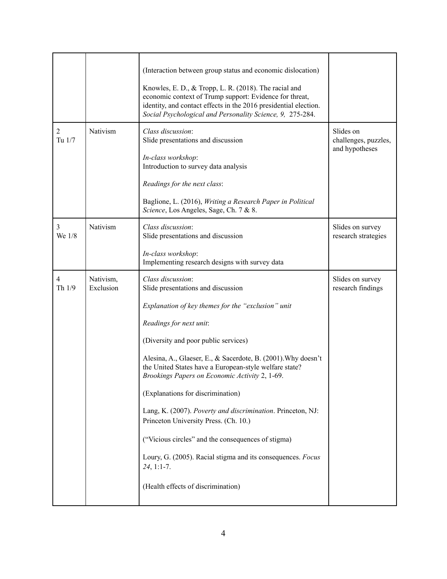| $\overline{c}$<br>Tu 1/7 | Nativism               | (Interaction between group status and economic dislocation)<br>Knowles, E. D., & Tropp, L. R. (2018). The racial and<br>economic context of Trump support: Evidence for threat,<br>identity, and contact effects in the 2016 presidential election.<br>Social Psychological and Personality Science, 9, 275-284.<br>Class discussion:<br>Slide presentations and discussion<br>In-class workshop:<br>Introduction to survey data analysis<br>Readings for the next class:<br>Baglione, L. (2016), Writing a Research Paper in Political                                                                                                                                               | Slides on<br>challenges, puzzles,<br>and hypotheses |
|--------------------------|------------------------|---------------------------------------------------------------------------------------------------------------------------------------------------------------------------------------------------------------------------------------------------------------------------------------------------------------------------------------------------------------------------------------------------------------------------------------------------------------------------------------------------------------------------------------------------------------------------------------------------------------------------------------------------------------------------------------|-----------------------------------------------------|
| 3                        | Nativism               | Science, Los Angeles, Sage, Ch. 7 & 8.<br>Class discussion:                                                                                                                                                                                                                                                                                                                                                                                                                                                                                                                                                                                                                           | Slides on survey                                    |
| We 1/8                   |                        | Slide presentations and discussion<br>In-class workshop:<br>Implementing research designs with survey data                                                                                                                                                                                                                                                                                                                                                                                                                                                                                                                                                                            | research strategies                                 |
| 4<br>Th 1/9              | Nativism,<br>Exclusion | Class discussion:<br>Slide presentations and discussion<br>Explanation of key themes for the "exclusion" unit<br>Readings for next unit:<br>(Diversity and poor public services)<br>Alesina, A., Glaeser, E., & Sacerdote, B. (2001). Why doesn't<br>the United States have a European-style welfare state?<br>Brookings Papers on Economic Activity 2, 1-69.<br>(Explanations for discrimination)<br>Lang, K. (2007). Poverty and discrimination. Princeton, NJ:<br>Princeton University Press. (Ch. 10.)<br>("Vicious circles" and the consequences of stigma)<br>Loury, G. (2005). Racial stigma and its consequences. Focus<br>$24, 1:1-7.$<br>(Health effects of discrimination) | Slides on survey<br>research findings               |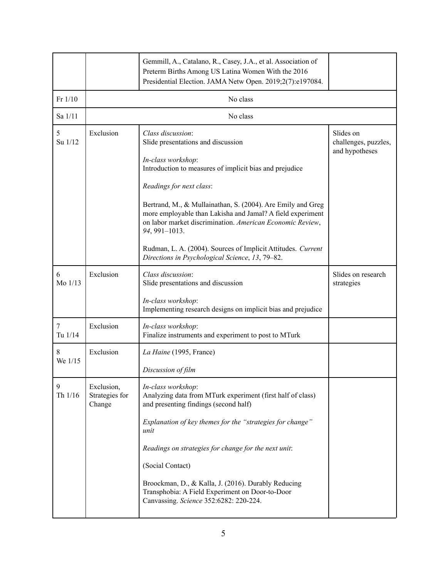|                |                                        | Gemmill, A., Catalano, R., Casey, J.A., et al. Association of<br>Preterm Births Among US Latina Women With the 2016<br>Presidential Election. JAMA Netw Open. 2019;2(7):e197084.                                                                                                                                                                                                                                               |                                                     |
|----------------|----------------------------------------|--------------------------------------------------------------------------------------------------------------------------------------------------------------------------------------------------------------------------------------------------------------------------------------------------------------------------------------------------------------------------------------------------------------------------------|-----------------------------------------------------|
| $Fr$ 1/10      | No class                               |                                                                                                                                                                                                                                                                                                                                                                                                                                |                                                     |
| Sa 1/11        | No class                               |                                                                                                                                                                                                                                                                                                                                                                                                                                |                                                     |
| 5<br>Su 1/12   | Exclusion                              | Class discussion:<br>Slide presentations and discussion<br>In-class workshop:<br>Introduction to measures of implicit bias and prejudice<br>Readings for next class:                                                                                                                                                                                                                                                           | Slides on<br>challenges, puzzles,<br>and hypotheses |
|                |                                        | Bertrand, M., & Mullainathan, S. (2004). Are Emily and Greg<br>more employable than Lakisha and Jamal? A field experiment<br>on labor market discrimination. American Economic Review,<br>94, 991-1013.<br>Rudman, L. A. (2004). Sources of Implicit Attitudes. Current<br>Directions in Psychological Science, 13, 79-82.                                                                                                     |                                                     |
| 6<br>Mo 1/13   | Exclusion                              | Class discussion:<br>Slide presentations and discussion<br>In-class workshop:<br>Implementing research designs on implicit bias and prejudice                                                                                                                                                                                                                                                                                  | Slides on research<br>strategies                    |
| 7<br>Tu 1/14   | Exclusion                              | In-class workshop:<br>Finalize instruments and experiment to post to MTurk                                                                                                                                                                                                                                                                                                                                                     |                                                     |
| 8<br>We $1/15$ | Exclusion                              | La Haine (1995, France)<br>Discussion of film                                                                                                                                                                                                                                                                                                                                                                                  |                                                     |
| 9<br>Th 1/16   | Exclusion,<br>Strategies for<br>Change | In-class workshop:<br>Analyzing data from MTurk experiment (first half of class)<br>and presenting findings (second half)<br>Explanation of key themes for the "strategies for change"<br>unit<br>Readings on strategies for change for the next unit:<br>(Social Contact)<br>Broockman, D., & Kalla, J. (2016). Durably Reducing<br>Transphobia: A Field Experiment on Door-to-Door<br>Canvassing. Science 352:6282: 220-224. |                                                     |